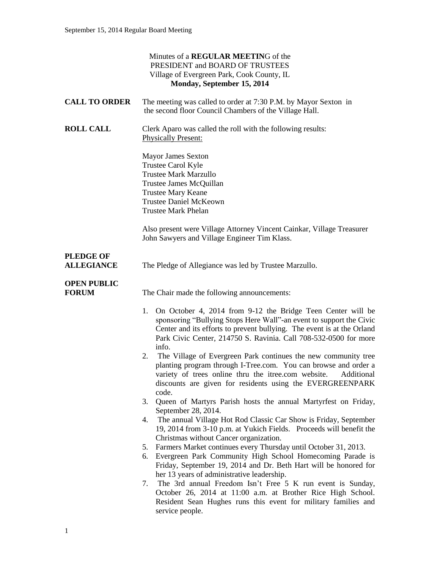|                                       | Minutes of a REGULAR MEETING of the<br>PRESIDENT and BOARD OF TRUSTEES<br>Village of Evergreen Park, Cook County, IL<br>Monday, September 15, 2014                                                                                                                                              |
|---------------------------------------|-------------------------------------------------------------------------------------------------------------------------------------------------------------------------------------------------------------------------------------------------------------------------------------------------|
| <b>CALL TO ORDER</b>                  | The meeting was called to order at 7:30 P.M. by Mayor Sexton in<br>the second floor Council Chambers of the Village Hall.                                                                                                                                                                       |
| <b>ROLL CALL</b>                      | Clerk Aparo was called the roll with the following results:<br><b>Physically Present:</b>                                                                                                                                                                                                       |
|                                       | Mayor James Sexton<br>Trustee Carol Kyle<br><b>Trustee Mark Marzullo</b><br>Trustee James McQuillan<br><b>Trustee Mary Keane</b><br><b>Trustee Daniel McKeown</b><br><b>Trustee Mark Phelan</b>                                                                                                 |
|                                       | Also present were Village Attorney Vincent Cainkar, Village Treasurer<br>John Sawyers and Village Engineer Tim Klass.                                                                                                                                                                           |
| <b>PLEDGE OF</b><br><b>ALLEGIANCE</b> | The Pledge of Allegiance was led by Trustee Marzullo.                                                                                                                                                                                                                                           |
| <b>OPEN PUBLIC</b><br><b>FORUM</b>    | The Chair made the following announcements:                                                                                                                                                                                                                                                     |
|                                       | On October 4, 2014 from 9-12 the Bridge Teen Center will be<br>1.<br>sponsoring "Bullying Stops Here Wall"-an event to support the Civic<br>Center and its efforts to prevent bullying. The event is at the Orland<br>Park Civic Center, 214750 S. Ravinia. Call 708-532-0500 for more<br>info. |
|                                       | The Village of Evergreen Park continues the new community tree<br>2.<br>planting program through I-Tree.com. You can browse and order a<br>variety of trees online thru the itree.com website. Additional<br>discounts are given for residents using the EVERGREENPARK<br>code.                 |
|                                       | Queen of Martyrs Parish hosts the annual Martyrfest on Friday,<br>3.<br>September 28, 2014.                                                                                                                                                                                                     |
|                                       | The annual Village Hot Rod Classic Car Show is Friday, September<br>4.<br>19, 2014 from 3-10 p.m. at Yukich Fields. Proceeds will benefit the<br>Christmas without Cancer organization.                                                                                                         |
|                                       | Farmers Market continues every Thursday until October 31, 2013.<br>5.                                                                                                                                                                                                                           |
|                                       | Evergreen Park Community High School Homecoming Parade is<br>6.<br>Friday, September 19, 2014 and Dr. Beth Hart will be honored for<br>her 13 years of administrative leadership.                                                                                                               |
|                                       | The 3rd annual Freedom Isn't Free 5 K run event is Sunday,<br>7.<br>October 26, 2014 at 11:00 a.m. at Brother Rice High School.<br>Resident Sean Hughes runs this event for military families and<br>service people.                                                                            |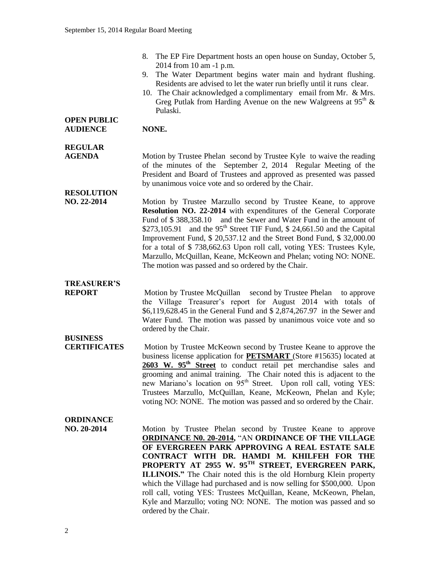- 8. The EP Fire Department hosts an open house on Sunday, October 5, 2014 from 10 am -1 p.m.
- 9. The Water Department begins water main and hydrant flushing. Residents are advised to let the water run briefly until it runs clear.
- 10. The Chair acknowledged a complimentary email from Mr. & Mrs. Greg Putlak from Harding Avenue on the new Walgreens at  $95<sup>th</sup>$  & Pulaski.

#### **OPEN PUBLIC AUDIENCE NONE.**

# **REGULAR**

**AGENDA** Motion by Trustee Phelan second by Trustee Kyle to waive the reading of the minutes of the September 2, 2014 Regular Meeting of the President and Board of Trustees and approved as presented was passed by unanimous voice vote and so ordered by the Chair.

# **RESOLUTION**

**NO. 22-2014** Motion by Trustee Marzullo second by Trustee Keane, to approve **Resolution NO. 22-2014** with expenditures of the General Corporate Fund of \$ 388,358.10 and the Sewer and Water Fund in the amount of \$273,105.91 and the  $95<sup>th</sup>$  Street TIF Fund, \$ 24,661.50 and the Capital Improvement Fund, \$ 20,537.12 and the Street Bond Fund, \$ 32,000.00 for a total of \$ 738,662.63 Upon roll call, voting YES: Trustees Kyle, Marzullo, McQuillan, Keane, McKeown and Phelan; voting NO: NONE. The motion was passed and so ordered by the Chair.

# **TREASURER'S**

**REPORT** Motion by Trustee McQuillan second by Trustee Phelan to approve the Village Treasurer's report for August 2014 with totals of \$6,119,628.45 in the General Fund and \$ 2,874,267.97 in the Sewer and Water Fund. The motion was passed by unanimous voice vote and so ordered by the Chair.

## **BUSINESS**

**CERTIFICATES** Motion by Trustee McKeown second by Trustee Keane to approve the business license application for **PETSMART** (Store #15635) located at **2603 W. 95th Street** to conduct retail pet merchandise sales and grooming and animal training. The Chair noted this is adjacent to the new Mariano's location on 95<sup>th</sup> Street. Upon roll call, voting YES: Trustees Marzullo, McQuillan, Keane, McKeown, Phelan and Kyle; voting NO: NONE. The motion was passed and so ordered by the Chair.

## **ORDINANCE**

**NO. 20-2014** Motion by Trustee Phelan second by Trustee Keane to approve **ORDINANCE N0. 20-2014,** "AN **ORDINANCE OF THE VILLAGE OF EVERGREEN PARK APPROVING A REAL ESTATE SALE CONTRACT WITH DR. HAMDI M. KHILFEH FOR THE PROPERTY AT 2955 W. 95TH STREET, EVERGREEN PARK, ILLINOIS."** The Chair noted this is the old Hornburg Klein property which the Village had purchased and is now selling for \$500,000. Upon roll call, voting YES: Trustees McQuillan, Keane, McKeown, Phelan, Kyle and Marzullo; voting NO: NONE. The motion was passed and so ordered by the Chair.